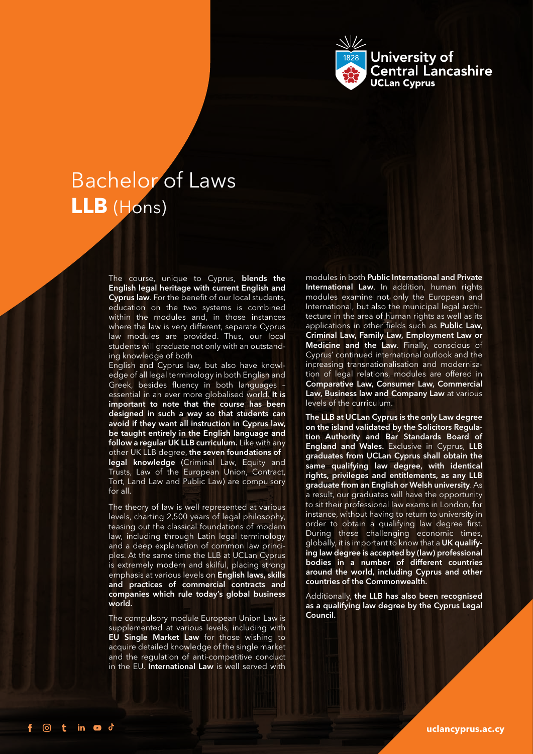

# **LLB** (Hons) Bachelor of Laws

The course, unique to Cyprus, blends the English legal heritage with current English and Cyprus law. For the benefit of our local students, education on the two systems is combined within the modules and, in those instances where the law is very different, separate Cyprus law modules are provided. Thus, our local students will graduate not only with an outstanding knowledge of both

English and Cyprus law, but also have knowledge of all legal terminology in both English and Greek, besides fluency in both languages – essential in an ever more globalised world. It is important to note that the course has been designed in such a way so that students can avoid if they want all instruction in Cyprus law, be taught entirely in the English language and follow a regular UK LLB curriculum. Like with any other UK LLB degree, the seven foundations of legal knowledge (Criminal Law, Equity and Trusts, Law of the European Union, Contract, Tort, Land Law and Public Law) are compulsory for all.

The theory of law is well represented at various levels, charting 2,500 years of legal philosophy, teasing out the classical foundations of modern law, including through Latin legal terminology and a deep explanation of common law principles. At the same time the LLB at UCLan Cyprus is extremely modern and skilful, placing strong emphasis at various levels on English laws, skills and practices of commercial contracts and companies which rule today's global business world.

The compulsory module European Union Law is supplemented at various levels, including with EU Single Market Law for those wishing to acquire detailed knowledge of the single market and the regulation of anti-competitive conduct in the EU. International Law is well served with

modules in both Public International and Private International Law. In addition, human rights modules examine not only the European and International, but also the municipal legal architecture in the area of human rights as well as its applications in other fields such as Public Law, Criminal Law, Family Law, Employment Law or Medicine and the Law. Finally, conscious of Cyprus' continued international outlook and the increasing transnationalisation and modernisation of legal relations, modules are offered in Comparative Law, Consumer Law, Commercial Law, Business law and Company Law at various levels of the curriculum.

The LLB at UCLan Cyprus is the only Law degree on the island validated by the Solicitors Regulation Authority and Bar Standards Board of **England and Wales.** Exclusive in Cyprus, LLB graduates from UCLan Cyprus shall obtain the same qualifying law degree, with identical rights, privileges and entitlements, as any LLB graduate from an English or Welsh university. As a result, our graduates will have the opportunity to sit their professional law exams in London, for instance, without having to return to university in order to obtain a qualifying law degree first. During these challenging economic times, globally, it is important to know that a UK qualifying law degree is accepted by (law) professional bodies in a number of different countries around the world, including Cyprus and other countries of the Commonwealth.

Additionally, the LLB has also been recognised as a qualifying law degree by the Cyprus Legal Council.